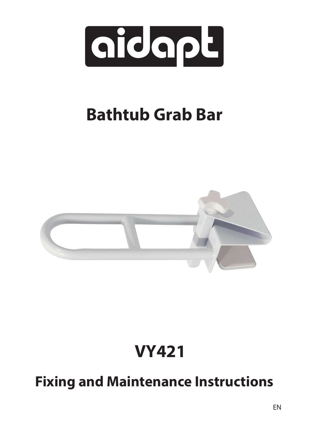

# **Bathtub Grab Bar**



## **VY421**

### **Fixing and Maintenance Instructions**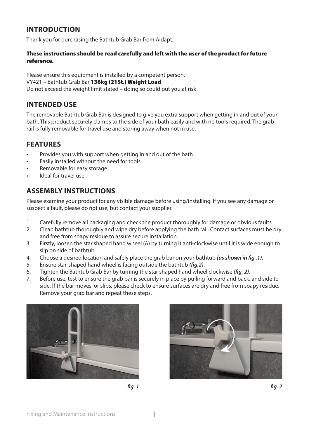#### **INTRODUCTION**

Thank you for purchasing the Bathtub Grab Bar from Aidapt.

#### These instructions should be read carefully and left with the user of the product for future reference.

Please ensure this equipment is installed by a competent person. VY421 – Bathtub Grab Bar 136kg (21St.) Weight Load Do not exceed the weight limit stated – doing so could put you at risk.

#### **INTENDED USE**

The removable Bathtub Grab Bar is designed to give you extra support when getting in and out of your bath. This product securely clamps to the side of your bath easily and with no tools required. The grab rail is fully removable for travel use and storing away when not in use.

#### **FEATURES**

- Provides you with support when getting in and out of the bath
- Easily installed without the need for tools
- Removable for easy storage
- Ideal for travel use

#### **ASSEMBLY INSTRUCTIONS**

Please examine your product for any visible damage before using/installing. If you see any damage or suspect a fault, please do not use, but contact your supplier.

- 1. Carefully remove all packaging and check the product thoroughly for damage or obvious faults.
- 2. Clean bathtub thoroughly and wipe dry before applying the bath rail. Contact surfaces must be dry and free from soapy residue to assure secure installation.
- 3. Firstly, loosen the star shaped hand wheel (A) by turning it anti-clockwise until it is wide enough to slip on side of bathtub.
- 4. Choose a desired location and safely place the grab bar on your bathtub *(as shown in fig .1)*.
- 5. Ensure star-shaped hand wheel is facing outside the bathtub *(fig.2)*.
- 6. Tighten the Bathtub Grab Bar by turning the star shaped hand wheel clockwise *(fig. 2)*.
- 7. Before use, test to ensure the grab bar is securely in place by pulling forward and back, and side to side. If the bar moves, or slips, please check to ensure surfaces are dry and free from soapy residue. Remove your grab bar and repeat these steps.





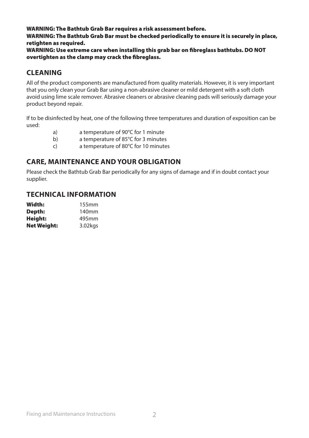WARNING: The Bathtub Grab Bar requires a risk assessment before.

WARNING: The Bathtub Grab Bar must be checked periodically to ensure it is securely in place, retighten as required.

WARNING: Use extreme care when installing this grab bar on fibreglass bathtubs. DO NOT overtighten as the clamp may crack the fibreglass.

#### **CLEANING**

All of the product components are manufactured from quality materials. However, it is very important that you only clean your Grab Bar using a non-abrasive cleaner or mild detergent with a soft cloth avoid using lime scale remover. Abrasive cleaners or abrasive cleaning pads will seriously damage your product beyond repair.

If to be disinfected by heat, one of the following three temperatures and duration of exposition can be used:

a) a temperature of 90°C for 1 minute b) a temperature of 85°C for 3 minutes c) a temperature of 80°C for 10 minutes

#### **CARE, MAINTENANCE AND YOUR OBLIGATION**

Please check the Bathtub Grab Bar periodically for any signs of damage and if in doubt contact your supplier.

#### **TECHNICAL INFORMATION**

| Width:             | 155mm   |
|--------------------|---------|
| Depth:             | 140mm   |
| Height:            | 495mm   |
| <b>Net Weight:</b> | 3.02kgs |